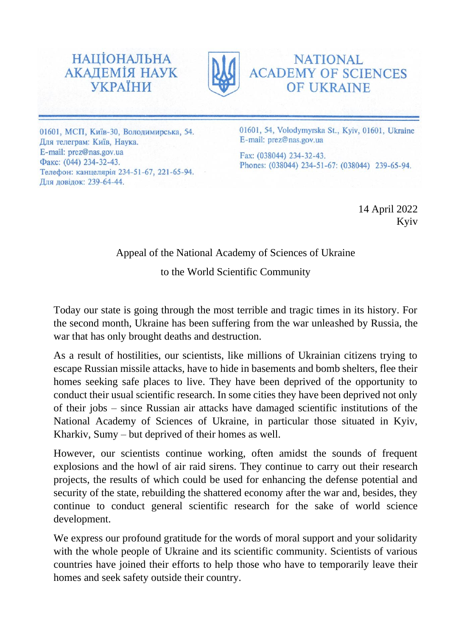



**NATIONAL ACADEMY OF SCIENCES OF UKRAINE** 

01601, МСП, Київ-30, Володимирська, 54. Для телеграм: Київ, Наука. E-mail: prez@nas.gov.ua Факс: (044) 234-32-43. Телефон: канцелярія 234-51-67, 221-65-94. Для довідок: 239-64-44.

01601, 54, Volodymyrska St., Kyiv, 01601, Ukraine E-mail: prez@nas.gov.ua

Fax: (038044) 234-32-43. Phones: (038044) 234-51-67: (038044) 239-65-94.

> 14 April 2022 Kyiv

## Appeal of the National Academy of Sciences of Ukraine

to the World Scientific Community

Today our state is going through the most terrible and tragic times in its history. For the second month, Ukraine has been suffering from the war unleashed by Russia, the war that has only brought deaths and destruction.

As a result of hostilities, our scientists, like millions of Ukrainian citizens trying to escape Russian missile attacks, have to hide in basements and bomb shelters, flee their homes seeking safe places to live. They have been deprived of the opportunity to conduct their usual scientific research. In some cities they have been deprived not only of their jobs – since Russian air attacks have damaged scientific institutions of the National Academy of Sciences of Ukraine, in particular those situated in Kyiv, Kharkiv, Sumy – but deprived of their homes as well.

However, our scientists continue working, often amidst the sounds of frequent explosions and the howl of air raid sirens. They continue to carry out their research projects, the results of which could be used for enhancing the defense potential and security of the state, rebuilding the shattered economy after the war and, besides, they continue to conduct general scientific research for the sake of world science development.

We express our profound gratitude for the words of moral support and your solidarity with the whole people of Ukraine and its scientific community. Scientists of various countries have joined their efforts to help those who have to temporarily leave their homes and seek safety outside their country.